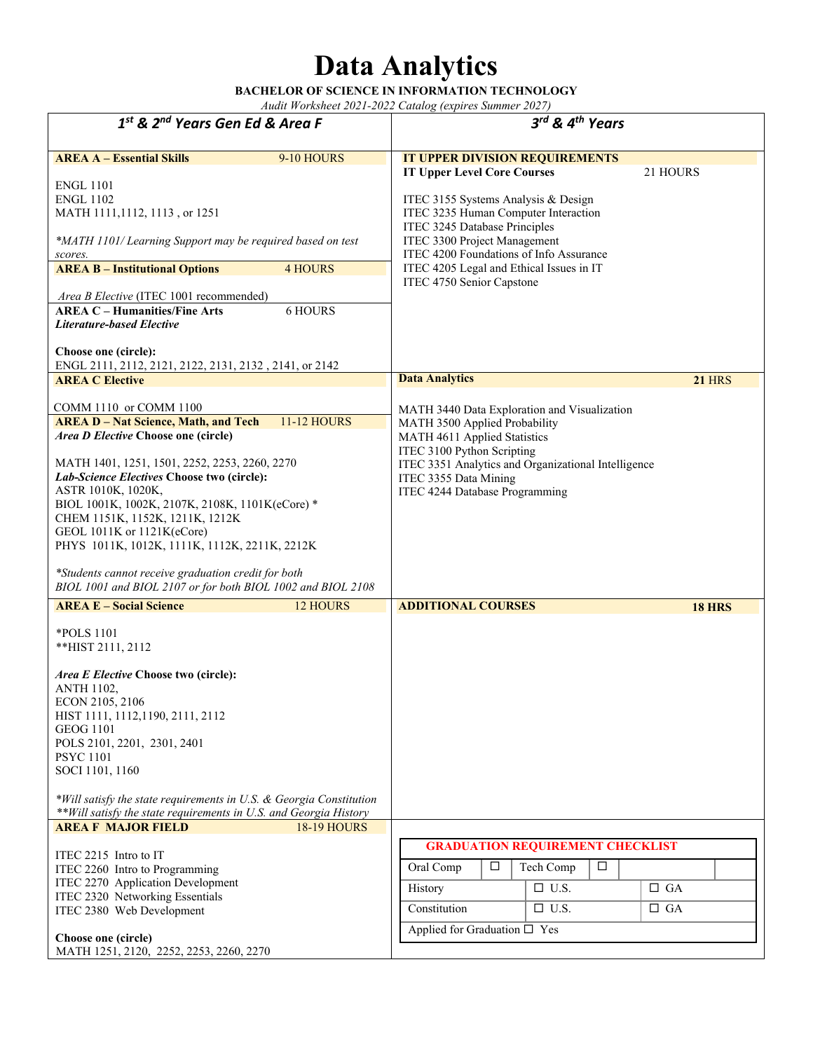## **Data Analytics**

**BACHELOR OF SCIENCE IN INFORMATION TECHNOLOGY**  *Audit Worksheet 2021-2022 Catalog (expires Summer 2027)* 

*1st & 2nd Years Gen Ed & Area F 3rd & 4th Years* **AREA A – Essential Skills** 9-10 HOURS ENGL 1101 ENGL 1102 MATH 1111,1112, 1113 , or 1251 *\*MATH 1101/ Learning Support may be required based on test scores.* **IT UPPER DIVISION REQUIREMENTS IT Upper Level Core Courses** 21 HOURS ITEC 3155 Systems Analysis & Design ITEC 3235 Human Computer Interaction ITEC 3245 Database Principles ITEC 3300 Project Management ITEC 4200 Foundations of Info Assurance ITEC 4205 Legal and Ethical Issues in IT ITEC 4750 Senior Capstone **AREA B – Institutional Options** 4 HOURS *Area B Elective* (ITEC 1001 recommended) **AREA C – Humanities/Fine Arts** 6 HOURS *Literature-based Elective* **Choose one (circle):**  ENGL 2111, 2112, 2121, 2122, 2131, 2132 , 2141, or 2142 **AREA C Elective** COMM 1110 or COMM 1100 **Data Analytics** 21 **HRS** MATH 3440 Data Exploration and Visualization MATH 3500 Applied Probability MATH 4611 Applied Statistics ITEC 3100 Python Scripting ITEC 3351 Analytics and Organizational Intelligence ITEC 3355 Data Mining ITEC 4244 Database Programming **AREA D – Nat Science, Math, and Tech** 11-12 HOURS *Area D Elective* **Choose one (circle)**  MATH 1401, 1251, 1501, 2252, 2253, 2260, 2270 *Lab-Science Electives* **Choose two (circle):**  ASTR 1010K, 1020K, BIOL 1001K, 1002K, 2107K, 2108K, 1101K(eCore) \* CHEM 1151K, 1152K, 1211K, 1212K GEOL 1011K or 1121K(eCore) PHYS 1011K, 1012K, 1111K, 1112K, 2211K, 2212K *\*Students cannot receive graduation credit for both BIOL 1001 and BIOL 2107 or for both BIOL 1002 and BIOL 2108* **AREA E – Social Science** 12 HOURS \*POLS 1101 \*\*HIST 2111, 2112 *Area E Elective* **Choose two (circle):**  ANTH 1102, ECON 2105, 2106 HIST 1111, 1112,1190, 2111, 2112 GEOG 1101 POLS 2101, 2201, 2301, 2401 PSYC 1101 SOCI 1101, 1160 *\*Will satisfy the state requirements in U.S. & Georgia Constitution \*\*Will satisfy the state requirements in U.S. and Georgia History* **ADDITIONAL COURSES AREA F MAJOR FIELD** 18-19 HOURS ITEC 2215 Intro to IT ITEC 2260 Intro to Programming ITEC 2270 Application Development ITEC 2320 Networking Essentials ITEC 2380 Web Development **Choose one (circle)**  MATH 1251, 2120, 2252, 2253, 2260, 2270  **GRADUATION REQUIREMENT CHECKLIST** Oral Comp  $\Box$  Tech Comp  $\Box$ History  $\Box$  U.S.  $\Box$  GA Constitution  $\Box$  U.S.  $\Box$  GA Applied for Graduation  $\square$  Yes **18 HRS**